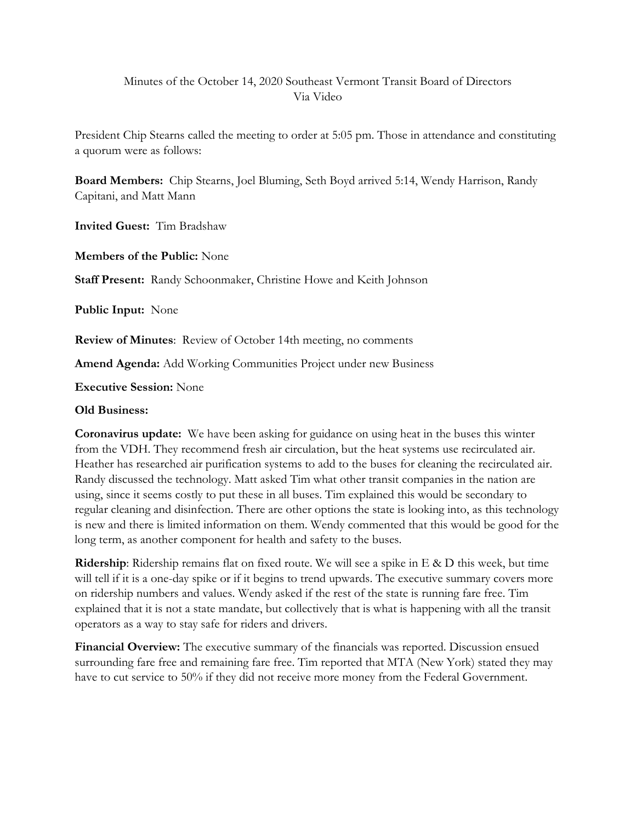# Minutes of the October 14, 2020 Southeast Vermont Transit Board of Directors Via Video

President Chip Stearns called the meeting to order at 5:05 pm. Those in attendance and constituting a quorum were as follows:

**Board Members:** Chip Stearns, Joel Bluming, Seth Boyd arrived 5:14, Wendy Harrison, Randy Capitani, and Matt Mann

**Invited Guest:** Tim Bradshaw

**Members of the Public:** None

**Staff Present:** Randy Schoonmaker, Christine Howe and Keith Johnson

**Public Input:** None

**Review of Minutes**: Review of October 14th meeting, no comments

**Amend Agenda:** Add Working Communities Project under new Business

**Executive Session:** None

### **Old Business:**

**Coronavirus update:** We have been asking for guidance on using heat in the buses this winter from the VDH. They recommend fresh air circulation, but the heat systems use recirculated air. Heather has researched air purification systems to add to the buses for cleaning the recirculated air. Randy discussed the technology. Matt asked Tim what other transit companies in the nation are using, since it seems costly to put these in all buses. Tim explained this would be secondary to regular cleaning and disinfection. There are other options the state is looking into, as this technology is new and there is limited information on them. Wendy commented that this would be good for the long term, as another component for health and safety to the buses.

**Ridership**: Ridership remains flat on fixed route. We will see a spike in E & D this week, but time will tell if it is a one-day spike or if it begins to trend upwards. The executive summary covers more on ridership numbers and values. Wendy asked if the rest of the state is running fare free. Tim explained that it is not a state mandate, but collectively that is what is happening with all the transit operators as a way to stay safe for riders and drivers.

**Financial Overview:** The executive summary of the financials was reported. Discussion ensued surrounding fare free and remaining fare free. Tim reported that MTA (New York) stated they may have to cut service to 50% if they did not receive more money from the Federal Government.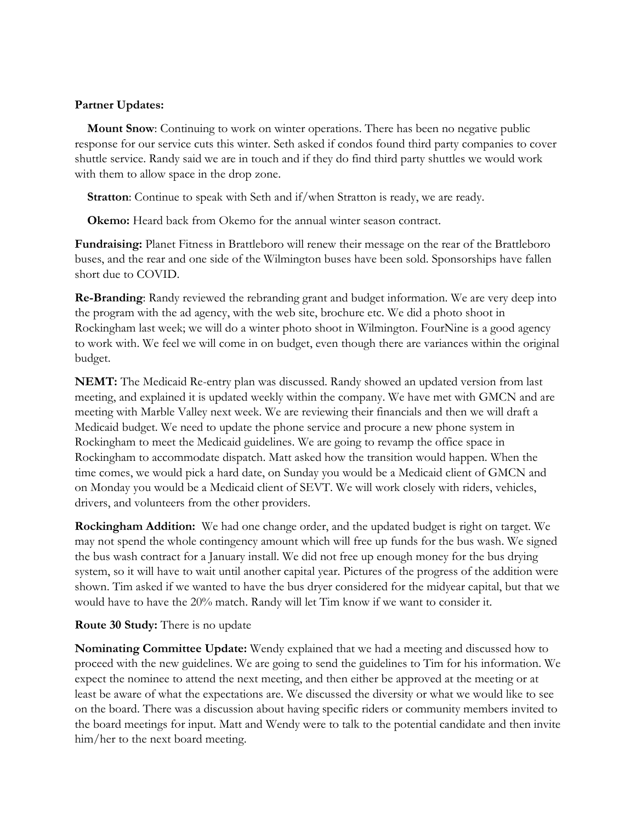## **Partner Updates:**

**Mount Snow**: Continuing to work on winter operations. There has been no negative public response for our service cuts this winter. Seth asked if condos found third party companies to cover shuttle service. Randy said we are in touch and if they do find third party shuttles we would work with them to allow space in the drop zone.

**Stratton**: Continue to speak with Seth and if/when Stratton is ready, we are ready.

 **Okemo:** Heard back from Okemo for the annual winter season contract.

**Fundraising:** Planet Fitness in Brattleboro will renew their message on the rear of the Brattleboro buses, and the rear and one side of the Wilmington buses have been sold. Sponsorships have fallen short due to COVID.

**Re-Branding**: Randy reviewed the rebranding grant and budget information. We are very deep into the program with the ad agency, with the web site, brochure etc. We did a photo shoot in Rockingham last week; we will do a winter photo shoot in Wilmington. FourNine is a good agency to work with. We feel we will come in on budget, even though there are variances within the original budget.

**NEMT:** The Medicaid Re-entry plan was discussed. Randy showed an updated version from last meeting, and explained it is updated weekly within the company. We have met with GMCN and are meeting with Marble Valley next week. We are reviewing their financials and then we will draft a Medicaid budget. We need to update the phone service and procure a new phone system in Rockingham to meet the Medicaid guidelines. We are going to revamp the office space in Rockingham to accommodate dispatch. Matt asked how the transition would happen. When the time comes, we would pick a hard date, on Sunday you would be a Medicaid client of GMCN and on Monday you would be a Medicaid client of SEVT. We will work closely with riders, vehicles, drivers, and volunteers from the other providers.

**Rockingham Addition:** We had one change order, and the updated budget is right on target. We may not spend the whole contingency amount which will free up funds for the bus wash. We signed the bus wash contract for a January install. We did not free up enough money for the bus drying system, so it will have to wait until another capital year. Pictures of the progress of the addition were shown. Tim asked if we wanted to have the bus dryer considered for the midyear capital, but that we would have to have the 20% match. Randy will let Tim know if we want to consider it.

#### **Route 30 Study:** There is no update

**Nominating Committee Update:** Wendy explained that we had a meeting and discussed how to proceed with the new guidelines. We are going to send the guidelines to Tim for his information. We expect the nominee to attend the next meeting, and then either be approved at the meeting or at least be aware of what the expectations are. We discussed the diversity or what we would like to see on the board. There was a discussion about having specific riders or community members invited to the board meetings for input. Matt and Wendy were to talk to the potential candidate and then invite him/her to the next board meeting.